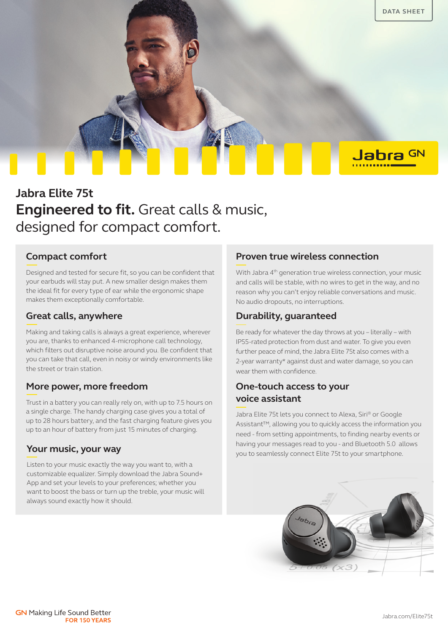

# **Jabra Elite 75t Engineered to fit.** Great calls & music, designed for compact comfort.

# **Compact comfort**

Designed and tested for secure fit, so you can be confident that your earbuds will stay put. A new smaller design makes them the ideal fit for every type of ear while the ergonomic shape makes them exceptionally comfortable.

### **Great calls, anywhere**

Making and taking calls is always a great experience, wherever you are, thanks to enhanced 4-microphone call technology, which filters out disruptive noise around you. Be confident that you can take that call, even in noisy or windy environments like the street or train station.

# **More power, more freedom**

Trust in a battery you can really rely on, with up to 7.5 hours on a single charge. The handy charging case gives you a total of up to 28 hours battery, and the fast charging feature gives you up to an hour of battery from just 15 minutes of charging.

Listen to your music exactly the way you want to, with a customizable equalizer. Simply download the Jabra Sound+ App and set your levels to your preferences; whether you want to boost the bass or turn up the treble, your music will always sound exactly how it should.

### **Proven true wireless connection**

With Jabra 4<sup>th</sup> generation true wireless connection, your music and calls will be stable, with no wires to get in the way, and no reason why you can't enjoy reliable conversations and music. No audio dropouts, no interruptions.

# **Durability, guaranteed**

Be ready for whatever the day throws at you – literally – with IP55-rated protection from dust and water. To give you even further peace of mind, the Jabra Elite 75t also comes with a 2-year warranty\* against dust and water damage, so you can wear them with confidence.

# **One-touch access to your voice assistant**

Jabra Elite 75t lets you connect to Alexa, Siri® or Google Assistant™, allowing you to quickly access the information you need - from setting appointments, to finding nearby events or having your messages read to you - and Bluetooth 5.0 allows **Your music, your way**<br>you to seamlessly connect Elite 75t to your smartphone.